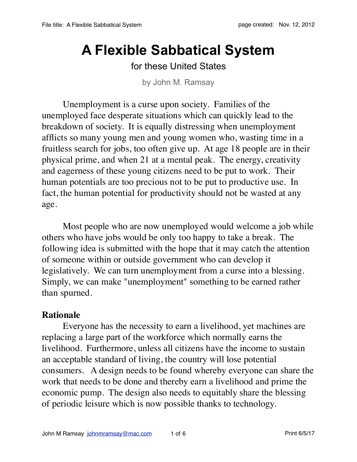# **A Flexible Sabbatical System**

# for these United States

by John M. Ramsay

Unemployment is a curse upon society. Families of the unemployed face desperate situations which can quickly lead to the breakdown of society. It is equally distressing when unemployment afflicts so many young men and young women who, wasting time in a fruitless search for jobs, too often give up. At age 18 people are in their physical prime, and when 21 at a mental peak. The energy, creativity and eagerness of these young citizens need to be put to work. Their human potentials are too precious not to be put to productive use. In fact, the human potential for productivity should not be wasted at any age.

Most people who are now unemployed would welcome a job while others who have jobs would be only too happy to take a break. The following idea is submitted with the hope that it may catch the attention of someone within or outside government who can develop it legislatively. We can turn unemployment from a curse into a blessing. Simply, we can make "unemployment" something to be earned rather than spurned.

## **Rationale**

Everyone has the necessity to earn a livelihood, yet machines are replacing a large part of the workforce which normally earns the livelihood. Furthermore, unless all citizens have the income to sustain an acceptable standard of living, the country will lose potential consumers. A design needs to be found whereby everyone can share the work that needs to be done and thereby earn a livelihood and prime the economic pump. The design also needs to equitably share the blessing of periodic leisure which is now possible thanks to technology.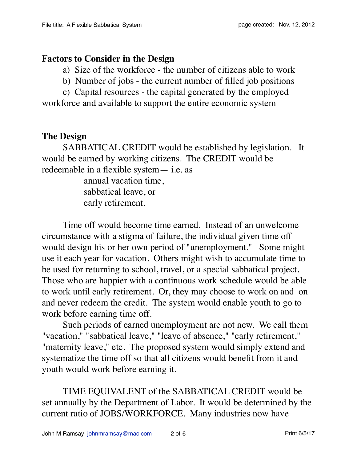#### **Factors to Consider in the Design**

a) Size of the workforce - the number of citizens able to work

b) Number of jobs - the current number of filled job positions

c) Capital resources - the capital generated by the employed workforce and available to support the entire economic system

## **The Design**

SABBATICAL CREDIT would be established by legislation. It would be earned by working citizens. The CREDIT would be redeemable in a flexible system— i.e. as

> annual vacation time, sabbatical leave, or early retirement.

Time off would become time earned. Instead of an unwelcome circumstance with a stigma of failure, the individual given time off would design his or her own period of "unemployment." Some might use it each year for vacation. Others might wish to accumulate time to be used for returning to school, travel, or a special sabbatical project. Those who are happier with a continuous work schedule would be able to work until early retirement. Or, they may choose to work on and on and never redeem the credit. The system would enable youth to go to work before earning time off.

Such periods of earned unemployment are not new. We call them "vacation," "sabbatical leave," "leave of absence," "early retirement," "maternity leave," etc. The proposed system would simply extend and systematize the time off so that all citizens would benefit from it and youth would work before earning it.

TIME EQUIVALENT of the SABBATICAL CREDIT would be set annually by the Department of Labor. It would be determined by the current ratio of JOBS/WORKFORCE. Many industries now have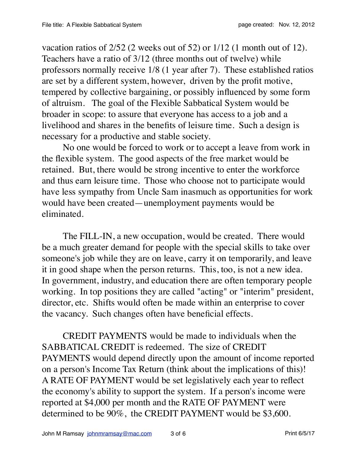vacation ratios of 2/52 (2 weeks out of 52) or 1/12 (1 month out of 12). Teachers have a ratio of 3/12 (three months out of twelve) while professors normally receive 1/8 (1 year after 7). These established ratios are set by a different system, however, driven by the profit motive, tempered by collective bargaining, or possibly influenced by some form of altruism. The goal of the Flexible Sabbatical System would be broader in scope: to assure that everyone has access to a job and a livelihood and shares in the benefits of leisure time. Such a design is necessary for a productive and stable society.

No one would be forced to work or to accept a leave from work in the flexible system. The good aspects of the free market would be retained. But, there would be strong incentive to enter the workforce and thus earn leisure time. Those who choose not to participate would have less sympathy from Uncle Sam inasmuch as opportunities for work would have been created—unemployment payments would be eliminated.

The FILL-IN, a new occupation, would be created. There would be a much greater demand for people with the special skills to take over someone's job while they are on leave, carry it on temporarily, and leave it in good shape when the person returns. This, too, is not a new idea. In government, industry, and education there are often temporary people working. In top positions they are called "acting" or "interim" president, director, etc. Shifts would often be made within an enterprise to cover the vacancy. Such changes often have beneficial effects.

CREDIT PAYMENTS would be made to individuals when the SABBATICAL CREDIT is redeemed. The size of CREDIT PAYMENTS would depend directly upon the amount of income reported on a person's Income Tax Return (think about the implications of this)! A RATE OF PAYMENT would be set legislatively each year to reflect the economy's ability to support the system. If a person's income were reported at \$4,000 per month and the RATE OF PAYMENT were determined to be 90%, the CREDIT PAYMENT would be \$3,600.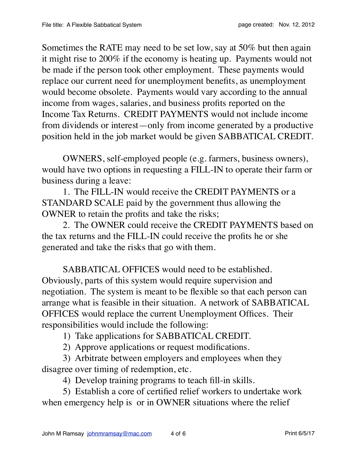Sometimes the RATE may need to be set low, say at 50% but then again it might rise to 200% if the economy is heating up. Payments would not be made if the person took other employment. These payments would replace our current need for unemployment benefits, as unemployment would become obsolete. Payments would vary according to the annual income from wages, salaries, and business profits reported on the Income Tax Returns. CREDIT PAYMENTS would not include income from dividends or interest—only from income generated by a productive position held in the job market would be given SABBATICAL CREDIT.

OWNERS, self-employed people (e.g. farmers, business owners), would have two options in requesting a FILL-IN to operate their farm or business during a leave:

1. The FILL-IN would receive the CREDIT PAYMENTS or a STANDARD SCALE paid by the government thus allowing the OWNER to retain the profits and take the risks;

2. The OWNER could receive the CREDIT PAYMENTS based on the tax returns and the FILL-IN could receive the profits he or she generated and take the risks that go with them.

SABBATICAL OFFICES would need to be established. Obviously, parts of this system would require supervision and negotiation. The system is meant to be flexible so that each person can arrange what is feasible in their situation. A network of SABBATICAL OFFICES would replace the current Unemployment Offices. Their responsibilities would include the following:

1) Take applications for SABBATICAL CREDIT.

2) Approve applications or request modifications.

3) Arbitrate between employers and employees when they disagree over timing of redemption, etc.

4) Develop training programs to teach fill-in skills.

5) Establish a core of certified relief workers to undertake work when emergency help is or in OWNER situations where the relief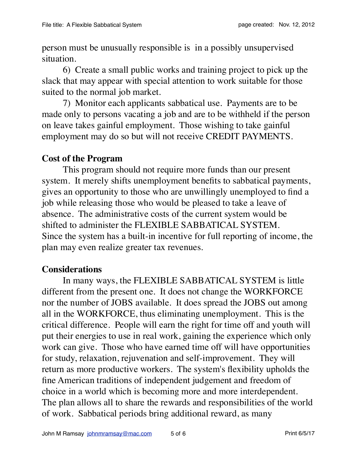person must be unusually responsible is in a possibly unsupervised situation.

6) Create a small public works and training project to pick up the slack that may appear with special attention to work suitable for those suited to the normal job market.

7) Monitor each applicants sabbatical use. Payments are to be made only to persons vacating a job and are to be withheld if the person on leave takes gainful employment. Those wishing to take gainful employment may do so but will not receive CREDIT PAYMENTS.

#### **Cost of the Program**

This program should not require more funds than our present system. It merely shifts unemployment benefits to sabbatical payments, gives an opportunity to those who are unwillingly unemployed to find a job while releasing those who would be pleased to take a leave of absence. The administrative costs of the current system would be shifted to administer the FLEXIBLE SABBATICAL SYSTEM. Since the system has a built-in incentive for full reporting of income, the plan may even realize greater tax revenues.

#### **Considerations**

In many ways, the FLEXIBLE SABBATICAL SYSTEM is little different from the present one. It does not change the WORKFORCE nor the number of JOBS available. It does spread the JOBS out among all in the WORKFORCE, thus eliminating unemployment. This is the critical difference. People will earn the right for time off and youth will put their energies to use in real work, gaining the experience which only work can give. Those who have earned time off will have opportunities for study, relaxation, rejuvenation and self-improvement. They will return as more productive workers. The system's flexibility upholds the fine American traditions of independent judgement and freedom of choice in a world which is becoming more and more interdependent. The plan allows all to share the rewards and responsibilities of the world of work. Sabbatical periods bring additional reward, as many